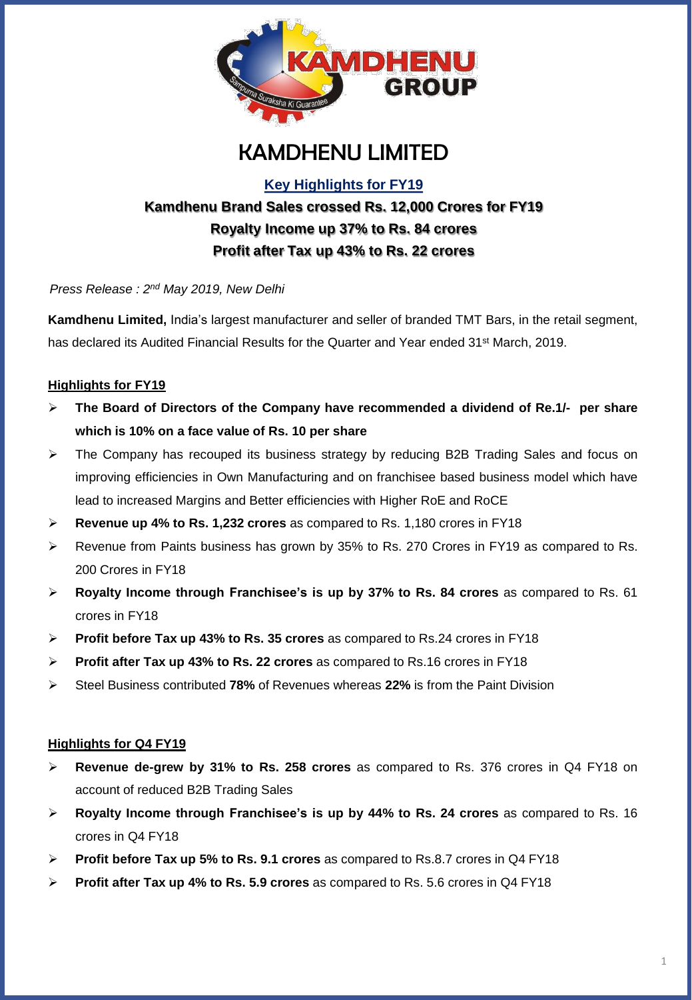

# KAMDHENU LIMITED

**Key Highlights for FY19**

# **Kamdhenu Brand Sales crossed Rs. 12,000 Crores for FY19 Royalty Income up 37% to Rs. 84 crores Profit after Tax up 43% to Rs. 22 crores**

*Press Release : 2 nd May 2019, New Delhi*

**Kamdhenu Limited,** India's largest manufacturer and seller of branded TMT Bars, in the retail segment, has declared its Audited Financial Results for the Quarter and Year ended 31<sup>st</sup> March, 2019.

### **Highlights for FY19**

- ➢ **The Board of Directors of the Company have recommended a dividend of Re.1/- per share which is 10% on a face value of Rs. 10 per share**
- ➢ The Company has recouped its business strategy by reducing B2B Trading Sales and focus on improving efficiencies in Own Manufacturing and on franchisee based business model which have lead to increased Margins and Better efficiencies with Higher RoE and RoCE
- ➢ **Revenue up 4% to Rs. 1,232 crores** as compared to Rs. 1,180 crores in FY18
- ➢ Revenue from Paints business has grown by 35% to Rs. 270 Crores in FY19 as compared to Rs. 200 Crores in FY18
- ➢ **Royalty Income through Franchisee's is up by 37% to Rs. 84 crores** as compared to Rs. 61 crores in FY18
- ➢ **Profit before Tax up 43% to Rs. 35 crores** as compared to Rs.24 crores in FY18
- ➢ **Profit after Tax up 43% to Rs. 22 crores** as compared to Rs.16 crores in FY18
- ➢ Steel Business contributed **78%** of Revenues whereas **22%** is from the Paint Division

#### **Highlights for Q4 FY19**

- ➢ **Revenue de-grew by 31% to Rs. 258 crores** as compared to Rs. 376 crores in Q4 FY18 on account of reduced B2B Trading Sales
- ➢ **Royalty Income through Franchisee's is up by 44% to Rs. 24 crores** as compared to Rs. 16 crores in Q4 FY18
- ➢ **Profit before Tax up 5% to Rs. 9.1 crores** as compared to Rs.8.7 crores in Q4 FY18
- ➢ **Profit after Tax up 4% to Rs. 5.9 crores** as compared to Rs. 5.6 crores in Q4 FY18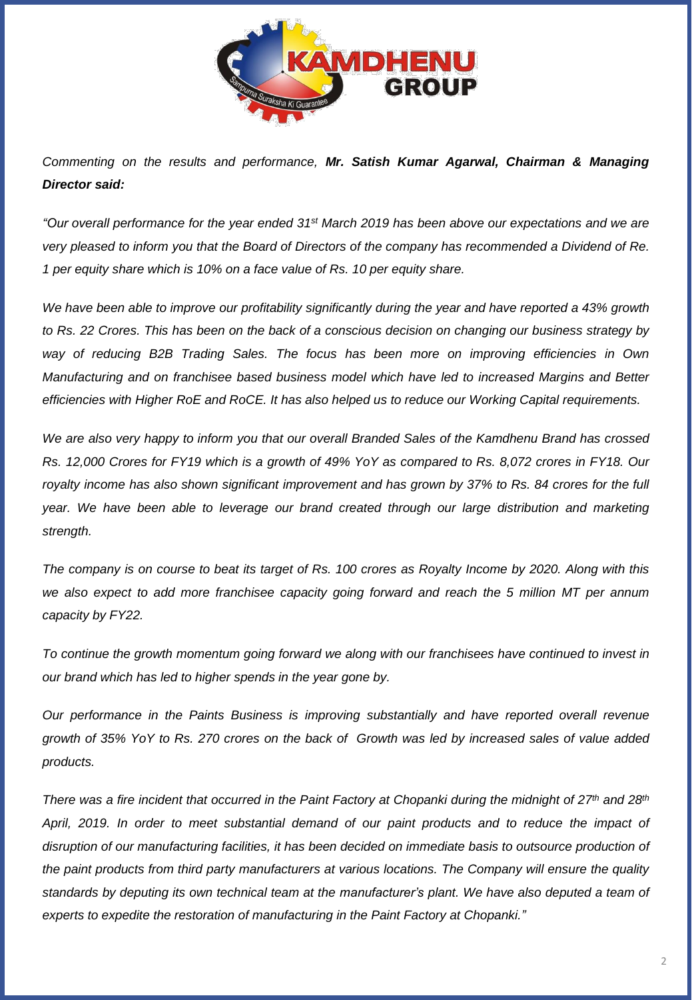

*Commenting on the results and performance, Mr. Satish Kumar Agarwal, Chairman & Managing Director said:*

"Our overall performance for the year ended 31st March 2019 has been above our expectations and we are very pleased to inform you that the Board of Directors of the company has recommended a Dividend of Re. *1 per equity share which is 10% on a face value of Rs. 10 per equity share.*

We have been able to improve our profitability significantly during the year and have reported a 43% growth to Rs. 22 Crores. This has been on the back of a conscious decision on changing our business strategy by *way of reducing B2B Trading Sales. The focus has been more on improving efficiencies in Own Manufacturing and on franchisee based business model which have led to increased Margins and Better efficiencies with Higher RoE and RoCE. It has also helped us to reduce our Working Capital requirements.*

We are also very happy to inform you that our overall Branded Sales of the Kamdhenu Brand has crossed Rs. 12,000 Crores for FY19 which is a growth of 49% YoY as compared to Rs. 8,072 crores in FY18. Our royalty income has also shown significant improvement and has grown by 37% to Rs. 84 crores for the full *year. We have been able to leverage our brand created through our large distribution and marketing strength.*

The company is on course to beat its target of Rs. 100 crores as Royalty Income by 2020. Along with this *we also expect to add more franchisee capacity going forward and reach the 5 million MT per annum capacity by FY22.*

*To continue the growth momentum going forward we along with our franchisees have continued to invest in our brand which has led to higher spends in the year gone by.*

*Our performance in the Paints Business is improving substantially and have reported overall revenue* growth of 35% YoY to Rs. 270 crores on the back of Growth was led by increased sales of value added *products.*

There was a fire incident that occurred in the Paint Factory at Chopanki during the midnight of 27<sup>th</sup> and 28<sup>th</sup> *April, 2019. In order to meet substantial demand of our paint products and to reduce the impact of disruption of our manufacturing facilities, it has been decided on immediate basis to outsource production of the paint products from third party manufacturers at various locations. The Company will ensure the quality* standards by deputing its own technical team at the manufacturer's plant. We have also deputed a team of *experts to expedite the restoration of manufacturing in the Paint Factory at Chopanki."*